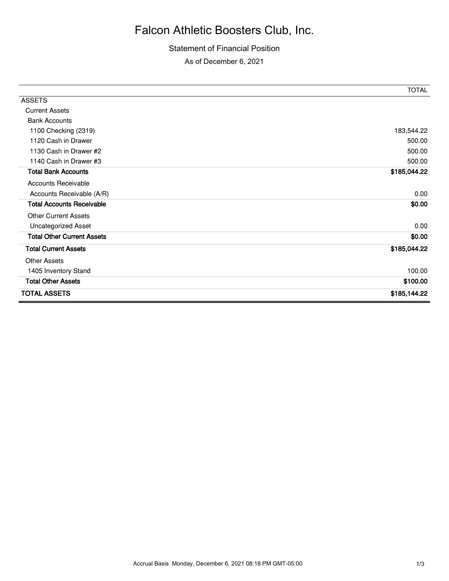## Falcon Athletic Boosters Club, Inc.

## Statement of Financial Position

As of December 6, 2021

|                                   | <b>TOTAL</b> |
|-----------------------------------|--------------|
| <b>ASSETS</b>                     |              |
| <b>Current Assets</b>             |              |
| <b>Bank Accounts</b>              |              |
| 1100 Checking (2319)              | 183,544.22   |
| 1120 Cash in Drawer               | 500.00       |
| 1130 Cash in Drawer #2            | 500.00       |
| 1140 Cash in Drawer #3            | 500.00       |
| <b>Total Bank Accounts</b>        | \$185,044.22 |
| <b>Accounts Receivable</b>        |              |
| Accounts Receivable (A/R)         | 0.00         |
| <b>Total Accounts Receivable</b>  | \$0.00       |
| <b>Other Current Assets</b>       |              |
| Uncategorized Asset               | 0.00         |
| <b>Total Other Current Assets</b> | \$0.00       |
| <b>Total Current Assets</b>       | \$185,044.22 |
| <b>Other Assets</b>               |              |
| 1405 Inventory Stand              | 100.00       |
| <b>Total Other Assets</b>         | \$100.00     |
| <b>TOTAL ASSETS</b>               | \$185,144.22 |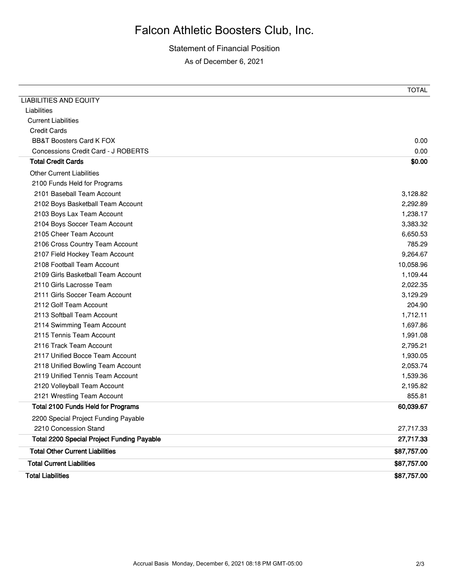## Falcon Athletic Boosters Club, Inc.

Statement of Financial Position As of December 6, 2021

|                                                   | <b>TOTAL</b> |
|---------------------------------------------------|--------------|
| <b>LIABILITIES AND EQUITY</b>                     |              |
| Liabilities                                       |              |
| <b>Current Liabilities</b>                        |              |
| <b>Credit Cards</b>                               |              |
| <b>BB&amp;T Boosters Card K FOX</b>               | 0.00         |
| Concessions Credit Card - J ROBERTS               | 0.00         |
| <b>Total Credit Cards</b>                         | \$0.00       |
| <b>Other Current Liabilities</b>                  |              |
| 2100 Funds Held for Programs                      |              |
| 2101 Baseball Team Account                        | 3,128.82     |
| 2102 Boys Basketball Team Account                 | 2,292.89     |
| 2103 Boys Lax Team Account                        | 1,238.17     |
| 2104 Boys Soccer Team Account                     | 3,383.32     |
| 2105 Cheer Team Account                           | 6,650.53     |
| 2106 Cross Country Team Account                   | 785.29       |
| 2107 Field Hockey Team Account                    | 9,264.67     |
| 2108 Football Team Account                        | 10,058.96    |
| 2109 Girls Basketball Team Account                | 1,109.44     |
| 2110 Girls Lacrosse Team                          | 2,022.35     |
| 2111 Girls Soccer Team Account                    | 3,129.29     |
| 2112 Golf Team Account                            | 204.90       |
| 2113 Softball Team Account                        | 1,712.11     |
| 2114 Swimming Team Account                        | 1,697.86     |
| 2115 Tennis Team Account                          | 1,991.08     |
| 2116 Track Team Account                           | 2,795.21     |
| 2117 Unified Bocce Team Account                   | 1,930.05     |
| 2118 Unified Bowling Team Account                 | 2,053.74     |
| 2119 Unified Tennis Team Account                  | 1,539.36     |
| 2120 Volleyball Team Account                      | 2,195.82     |
| 2121 Wrestling Team Account                       | 855.81       |
| Total 2100 Funds Held for Programs                | 60,039.67    |
| 2200 Special Project Funding Payable              |              |
| 2210 Concession Stand                             | 27,717.33    |
| <b>Total 2200 Special Project Funding Payable</b> | 27,717.33    |
| <b>Total Other Current Liabilities</b>            | \$87,757.00  |
| <b>Total Current Liabilities</b>                  | \$87,757.00  |
| <b>Total Liabilities</b>                          | \$87,757.00  |